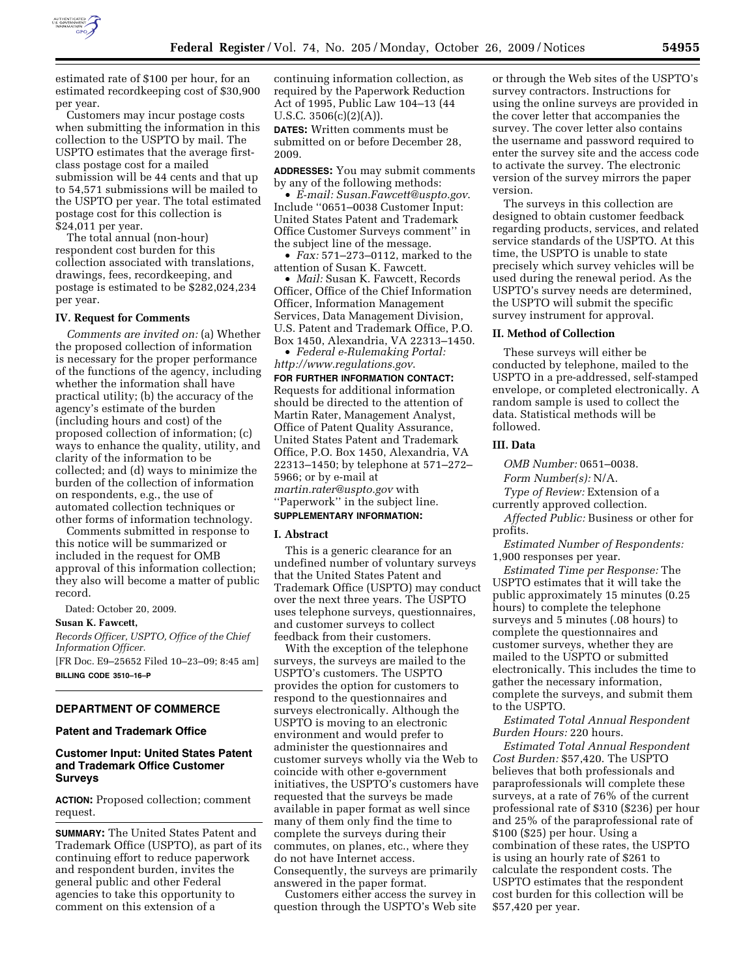

estimated rate of \$100 per hour, for an estimated recordkeeping cost of \$30,900 per year.

Customers may incur postage costs when submitting the information in this collection to the USPTO by mail. The USPTO estimates that the average firstclass postage cost for a mailed submission will be 44 cents and that up to 54,571 submissions will be mailed to the USPTO per year. The total estimated postage cost for this collection is \$24,011 per year.

The total annual (non-hour) respondent cost burden for this collection associated with translations, drawings, fees, recordkeeping, and postage is estimated to be \$282,024,234 per year.

## **IV. Request for Comments**

*Comments are invited on:* (a) Whether the proposed collection of information is necessary for the proper performance of the functions of the agency, including whether the information shall have practical utility; (b) the accuracy of the agency's estimate of the burden (including hours and cost) of the proposed collection of information; (c) ways to enhance the quality, utility, and clarity of the information to be collected; and (d) ways to minimize the burden of the collection of information on respondents, e.g., the use of automated collection techniques or other forms of information technology.

Comments submitted in response to this notice will be summarized or included in the request for OMB approval of this information collection; they also will become a matter of public record.

Dated: October 20, 2009.

**Susan K. Fawcett,** 

*Records Officer, USPTO, Office of the Chief Information Officer.* 

[FR Doc. E9–25652 Filed 10–23–09; 8:45 am] **BILLING CODE 3510–16–P** 

### **DEPARTMENT OF COMMERCE**

### **Patent and Trademark Office**

# **Customer Input: United States Patent and Trademark Office Customer Surveys**

**ACTION:** Proposed collection; comment request.

**SUMMARY:** The United States Patent and Trademark Office (USPTO), as part of its continuing effort to reduce paperwork and respondent burden, invites the general public and other Federal agencies to take this opportunity to comment on this extension of a

continuing information collection, as required by the Paperwork Reduction Act of 1995, Public Law 104–13 (44 U.S.C.  $3506(c)(2)(A)$ .

**DATES:** Written comments must be submitted on or before December 28, 2009.

**ADDRESSES:** You may submit comments by any of the following methods:

• *E-mail: Susan.Fawcett@uspto.gov*. Include ''0651–0038 Customer Input: United States Patent and Trademark Office Customer Surveys comment'' in the subject line of the message.

• *Fax:* 571–273–0112, marked to the attention of Susan K. Fawcett.

• *Mail:* Susan K. Fawcett, Records Officer, Office of the Chief Information Officer, Information Management Services, Data Management Division, U.S. Patent and Trademark Office, P.O. Box 1450, Alexandria, VA 22313–1450.

• *Federal e-Rulemaking Portal: http://www.regulations.gov*.

**FOR FURTHER INFORMATION CONTACT:**  Requests for additional information should be directed to the attention of Martin Rater, Management Analyst, Office of Patent Quality Assurance, United States Patent and Trademark Office, P.O. Box 1450, Alexandria, VA 22313–1450; by telephone at 571–272– 5966; or by e-mail at *martin.rater@uspto.gov* with ''Paperwork'' in the subject line.

# **SUPPLEMENTARY INFORMATION:**

## **I. Abstract**

This is a generic clearance for an undefined number of voluntary surveys that the United States Patent and Trademark Office (USPTO) may conduct over the next three years. The USPTO uses telephone surveys, questionnaires, and customer surveys to collect feedback from their customers.

With the exception of the telephone surveys, the surveys are mailed to the USPTO's customers. The USPTO provides the option for customers to respond to the questionnaires and surveys electronically. Although the USPTO is moving to an electronic environment and would prefer to administer the questionnaires and customer surveys wholly via the Web to coincide with other e-government initiatives, the USPTO's customers have requested that the surveys be made available in paper format as well since many of them only find the time to complete the surveys during their commutes, on planes, etc., where they do not have Internet access. Consequently, the surveys are primarily answered in the paper format.

Customers either access the survey in question through the USPTO's Web site

or through the Web sites of the USPTO's survey contractors. Instructions for using the online surveys are provided in the cover letter that accompanies the survey. The cover letter also contains the username and password required to enter the survey site and the access code to activate the survey. The electronic version of the survey mirrors the paper version.

The surveys in this collection are designed to obtain customer feedback regarding products, services, and related service standards of the USPTO. At this time, the USPTO is unable to state precisely which survey vehicles will be used during the renewal period. As the USPTO's survey needs are determined, the USPTO will submit the specific survey instrument for approval.

### **II. Method of Collection**

These surveys will either be conducted by telephone, mailed to the USPTO in a pre-addressed, self-stamped envelope, or completed electronically. A random sample is used to collect the data. Statistical methods will be followed.

### **III. Data**

*OMB Number:* 0651–0038.

*Form Number(s):* N/A.

*Type of Review:* Extension of a currently approved collection.

*Affected Public:* Business or other for profits.

*Estimated Number of Respondents:*  1,900 responses per year.

*Estimated Time per Response:* The USPTO estimates that it will take the public approximately 15 minutes (0.25 hours) to complete the telephone surveys and 5 minutes (.08 hours) to complete the questionnaires and customer surveys, whether they are mailed to the USPTO or submitted electronically. This includes the time to gather the necessary information, complete the surveys, and submit them to the USPTO.

*Estimated Total Annual Respondent Burden Hours:* 220 hours.

*Estimated Total Annual Respondent Cost Burden:* \$57,420. The USPTO believes that both professionals and paraprofessionals will complete these surveys, at a rate of 76% of the current professional rate of \$310 (\$236) per hour and 25% of the paraprofessional rate of \$100 (\$25) per hour. Using a combination of these rates, the USPTO is using an hourly rate of \$261 to calculate the respondent costs. The USPTO estimates that the respondent cost burden for this collection will be \$57,420 per year.